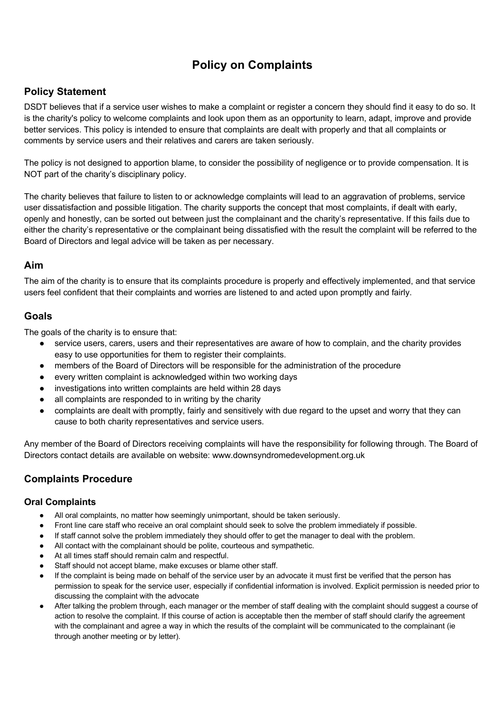# **Policy on Complaints**

## **Policy Statement**

DSDT believes that if a service user wishes to make a complaint or register a concern they should find it easy to do so. It is the charity's policy to welcome complaints and look upon them as an opportunity to learn, adapt, improve and provide better services. This policy is intended to ensure that complaints are dealt with properly and that all complaints or comments by service users and their relatives and carers are taken seriously.

The policy is not designed to apportion blame, to consider the possibility of negligence or to provide compensation. It is NOT part of the charity's disciplinary policy.

The charity believes that failure to listen to or acknowledge complaints will lead to an aggravation of problems, service user dissatisfaction and possible litigation. The charity supports the concept that most complaints, if dealt with early, openly and honestly, can be sorted out between just the complainant and the charity's representative. If this fails due to either the charity's representative or the complainant being dissatisfied with the result the complaint will be referred to the Board of Directors and legal advice will be taken as per necessary.

#### **Aim**

The aim of the charity is to ensure that its complaints procedure is properly and effectively implemented, and that service users feel confident that their complaints and worries are listened to and acted upon promptly and fairly.

### **Goals**

The goals of the charity is to ensure that:

- service users, carers, users and their representatives are aware of how to complain, and the charity provides easy to use opportunities for them to register their complaints.
- members of the Board of Directors will be responsible for the administration of the procedure
- every written complaint is acknowledged within two working days
- investigations into written complaints are held within 28 days
- all complaints are responded to in writing by the charity
- complaints are dealt with promptly, fairly and sensitively with due regard to the upset and worry that they can cause to both charity representatives and service users.

Any member of the Board of Directors receiving complaints will have the responsibility for following through. The Board of Directors contact details are available on website: www.downsyndromedevelopment.org.uk

## **Complaints Procedure**

#### **Oral Complaints**

- All oral complaints, no matter how seemingly unimportant, should be taken seriously.
- Front line care staff who receive an oral complaint should seek to solve the problem immediately if possible.
- If staff cannot solve the problem immediately they should offer to get the manager to deal with the problem.
- All contact with the complainant should be polite, courteous and sympathetic.
- At all times staff should remain calm and respectful.
- Staff should not accept blame, make excuses or blame other staff.
- If the complaint is being made on behalf of the service user by an advocate it must first be verified that the person has permission to speak for the service user, especially if confidential information is involved. Explicit permission is needed prior to discussing the complaint with the advocate
- After talking the problem through, each manager or the member of staff dealing with the complaint should suggest a course of action to resolve the complaint. If this course of action is acceptable then the member of staff should clarify the agreement with the complainant and agree a way in which the results of the complaint will be communicated to the complainant (ie through another meeting or by letter).